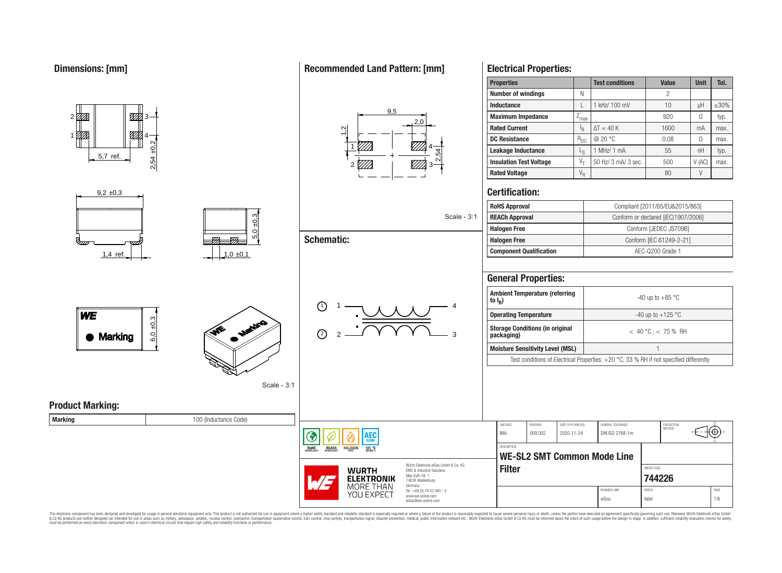1

01 TX

 $9.2 \pm 0.3$ 

5,7 ref.

#### **Electrical Properties: Properties Test conditions Value Unit Tol. Number of windings** N N 2 **Inductance** L 1 L | 1 kHz/ 100 mV | 10 | µH | ±30%  $9<sub>5</sub>$ **Maximum Impedance**  $\boxed{Z_{\text{max}}}$   $\boxed{Q_{\text{max}}}$  920  $\boxed{Q}$  typ. <u>771 - Johann Str</u>  $2<sub>0</sub>$ **Rated Current** I<sub>R</sub>  $\Delta T = 40 \text{ K}$  1600 mA max.  $\frac{1}{2}$ ▨ 4 **DC Resistance**  $R_{DC}$   $\omega$  20 °C 0.08  $\Omega$  max. 2,54 ±0,2 1 4 **Leakage Inductance** | L<sub>S</sub> 1 MHz/ 1 mA  $\vert$  55  $\vert$  nH  $\vert$  typ. 2,54 **Insulation Test Voltage**  $V_T$  50 Hz/ 3 mA/ 3 sec.  $V$  500  $V$  (AC) max. 2 *V//A* 3 **Rated Voltage** V<sup>R</sup> 80 V **Certification: RoHS Approval** Compliant [2011/65/EU&2015/863]  $5,0 \pm 0,3$ Scale - 3:1 **REACh Approval Conform or declared [(EC)1907/2006] Halogen Free Conform [JEDEC JS709B] Schematic:**  $\overline{r}$ **Halogen Free** Conform [IEC 61249-2-21]  $\overline{\sigma}$ **Component Qualification a AEC-Q200 Grade 1** 1.4 ref.  $\vert$   $\vert$   $\vert$   $\vert$  1.0  $\pm$ 0.1 **General Properties: Ambient Temperature (referring to I<sup>R</sup> )** 1)  $1 - 1$   $1 - 4$ 1

## **Recommended Land Pattern: [mm]**

#### eiSos@we-online.com eiSos Valid 1/6 This electronic component has been designed and developed for usage in general electronic equipment only. This product is not authorized for use in equipment where a higher safety standard and reliability standard is espec & Ook product a label and the membed of the seasuch as marked and as which such a membed and the such assume that income in the seasuch and the simulation and the such assume that include to the such a membed and the such

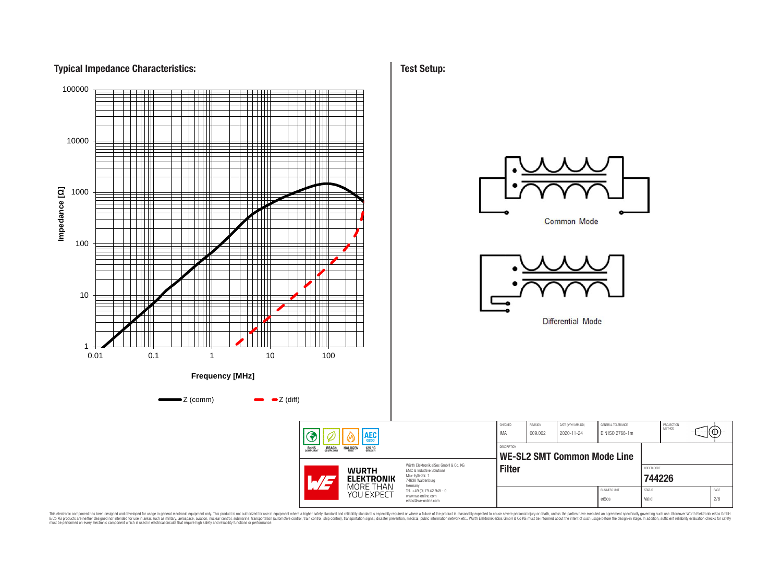# **Typical Impedance Characteristics:**



**Test Setup:**

This electronic component has been designed and developed for usage in general electronic equipment only. This product is not authorized for subserved requipment where a higher selection equipment where a higher selection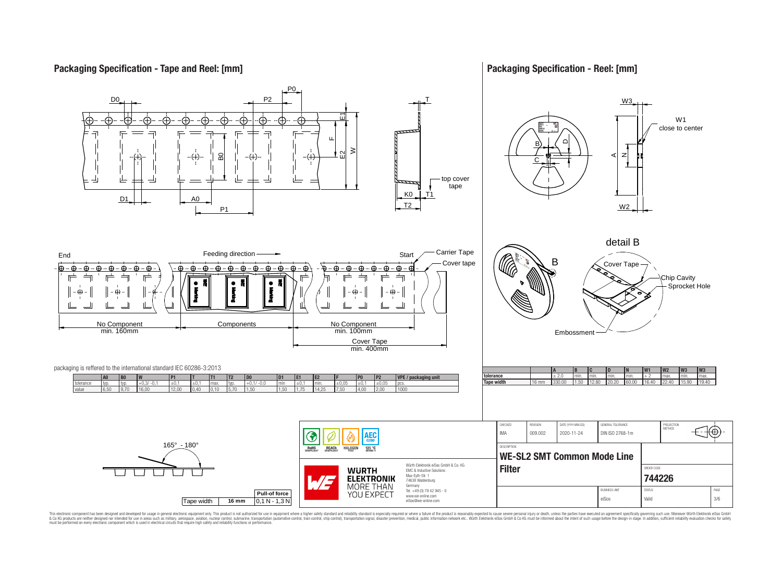# **Packaging Specification - Tape and Reel: [mm]**

## **Packaging Specification - Reel: [mm]**



This electronic component has been designed and developed for usage in general electronic equipment only. This product is not authorized for subserved requipment where a higher selection equipment where a higher selection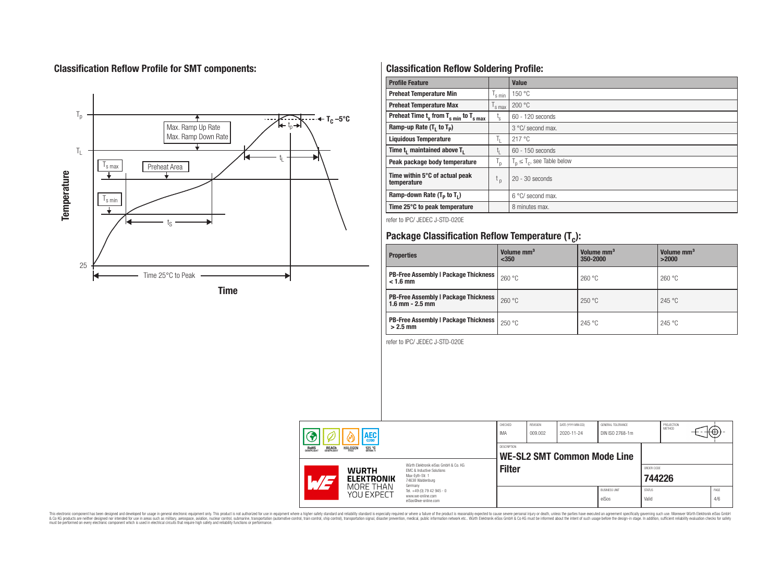# **Classification Reflow Profile for SMT components:**



# **Classification Reflow Soldering Profile:**

| <b>Profile Feature</b>                              |                    | <b>Value</b>                     |
|-----------------------------------------------------|--------------------|----------------------------------|
| <b>Preheat Temperature Min</b>                      | s min              | 150 °C                           |
| <b>Preheat Temperature Max</b>                      | <sup>I</sup> s max | 200 °C                           |
| Preheat Time $t_s$ from $T_{s min}$ to $T_{s max}$  | $t_{\rm s}$        | $60 - 120$ seconds               |
| Ramp-up Rate $(T_1$ to $T_p$ )                      |                    | 3 °C/ second max.                |
| <b>Liquidous Temperature</b>                        | T <sub>L</sub>     | 217°C                            |
| Time t <sub>1</sub> maintained above T <sub>1</sub> | t,                 | 60 - 150 seconds                 |
| Peak package body temperature                       | ' p                | $T_p \leq T_c$ , see Table below |
| Time within 5°C of actual peak<br>temperature       | t <sub>p</sub>     | $20 - 30$ seconds                |
| Ramp-down Rate $(T_p$ to $T_1$ )                    |                    | $6^{\circ}$ C/ second max.       |
| Time 25°C to peak temperature                       |                    | 8 minutes max.                   |

refer to IPC/ JEDEC J-STD-020E

# **Package Classification Reflow Temperature (T<sup>c</sup> ):**

| <b>Properties</b>                                                    | Volume mm <sup>3</sup><br>< 350 | Volume mm <sup>3</sup><br>350-2000 | Volume mm <sup>3</sup><br>>2000 |  |  |  |
|----------------------------------------------------------------------|---------------------------------|------------------------------------|---------------------------------|--|--|--|
| <b>PB-Free Assembly   Package Thickness  </b><br>$< 1.6$ mm          | 260 °C                          | 260 °C                             | 260 °C                          |  |  |  |
| <b>PB-Free Assembly   Package Thickness  </b><br>$1.6$ mm $- 2.5$ mm | 260 °C                          | 250 °C                             | 245 °C                          |  |  |  |
| <b>PB-Free Assembly   Package Thickness  </b><br>$>2.5$ mm           | 250 °C                          | 245 °C                             | 245 °C                          |  |  |  |

refer to IPC/ JEDEC J-STD-020E

| <b>AEC</b><br><b>REACH</b><br>COMPLIANT<br><b>ROHS</b><br>COMPLIANT<br><b>HALOGEN</b><br>125 °C<br>GRADE 1 |                                   | CHECKED<br>IMA                                           | REVISION<br>009.002                                                                                                 | DATE (YYYY-MM-DD)<br>2020-11-24 | GENERAL TOLERANCE<br>DIN ISO 2768-1m |  | PROJECTION<br>METHOD          | ťΦ                     |  |  |             |
|------------------------------------------------------------------------------------------------------------|-----------------------------------|----------------------------------------------------------|---------------------------------------------------------------------------------------------------------------------|---------------------------------|--------------------------------------|--|-------------------------------|------------------------|--|--|-------------|
|                                                                                                            |                                   | <b>DESCRIPTION</b><br><b>WE-SL2 SMT Common Mode Line</b> |                                                                                                                     |                                 |                                      |  |                               |                        |  |  |             |
|                                                                                                            | <b>WURTH</b><br><b>ELEKTRONIK</b> |                                                          | Würth Flektronik eiSos GmbH & Co. KG<br>EMC & Inductive Solutions<br>Max-Eyth-Str. 1<br>74638 Waldenburg<br>Germany | <b>Filter</b>                   |                                      |  |                               | ORDER CODE<br>744226   |  |  |             |
|                                                                                                            |                                   | MORE THAN<br>YOU EXPECT                                  | Tel. +49 (0) 79 42 945 - 0<br>www.we-online.com<br>eiSos@we-online.com                                              |                                 |                                      |  | <b>BUSINESS UNIT</b><br>eiSos | <b>STATUS</b><br>Valid |  |  | PAGE<br>4/6 |

This electronic component has been designed and developed for usage in general electronic equipment only. This product is not authorized for subserved requipment where a higher selection equipment where a higher selection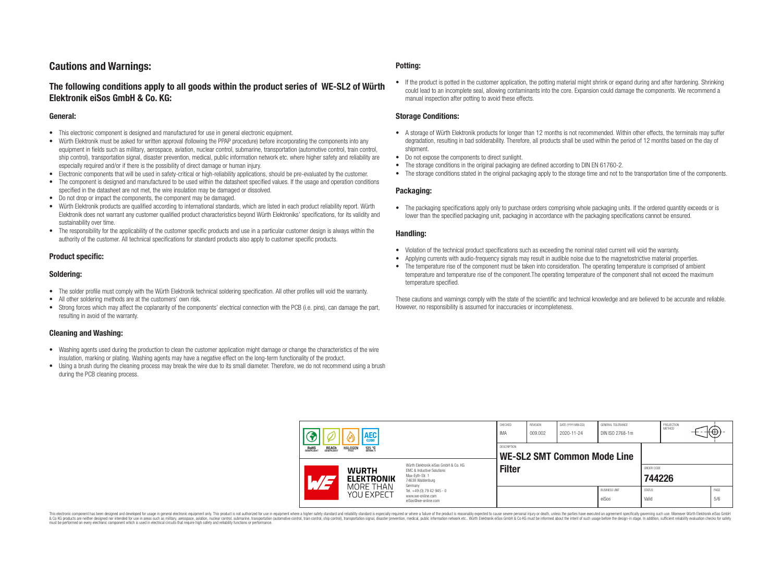# **Cautions and Warnings:**

## **The following conditions apply to all goods within the product series of WE-SL2 of Würth Elektronik eiSos GmbH & Co. KG:**

#### **General:**

- This electronic component is designed and manufactured for use in general electronic equipment.
- Würth Elektronik must be asked for written approval (following the PPAP procedure) before incorporating the components into any equipment in fields such as military, aerospace, aviation, nuclear control, submarine, transportation (automotive control, train control, ship control), transportation signal, disaster prevention, medical, public information network etc. where higher safety and reliability are especially required and/or if there is the possibility of direct damage or human injury.
- Electronic components that will be used in safety-critical or high-reliability applications, should be pre-evaluated by the customer.
- The component is designed and manufactured to be used within the datasheet specified values. If the usage and operation conditions specified in the datasheet are not met, the wire insulation may be damaged or dissolved.
- Do not drop or impact the components, the component may be damaged.
- Würth Elektronik products are qualified according to international standards, which are listed in each product reliability report. Würth Elektronik does not warrant any customer qualified product characteristics beyond Würth Elektroniks' specifications, for its validity and sustainability over time.
- The responsibility for the applicability of the customer specific products and use in a particular customer design is always within the authority of the customer. All technical specifications for standard products also apply to customer specific products.

#### **Product specific:**

#### **Soldering:**

- The solder profile must comply with the Würth Elektronik technical soldering specification. All other profiles will void the warranty.
- All other soldering methods are at the customers' own risk.
- Strong forces which may affect the coplanarity of the components' electrical connection with the PCB (i.e. pins), can damage the part, resulting in avoid of the warranty.

#### **Cleaning and Washing:**

- Washing agents used during the production to clean the customer application might damage or change the characteristics of the wire insulation, marking or plating. Washing agents may have a negative effect on the long-term functionality of the product.
- Using a brush during the cleaning process may break the wire due to its small diameter. Therefore, we do not recommend using a brush during the PCB cleaning process.

#### **Potting:**

• If the product is potted in the customer application, the potting material might shrink or expand during and after hardening. Shrinking could lead to an incomplete seal, allowing contaminants into the core. Expansion could damage the components. We recommend a manual inspection after potting to avoid these effects.

#### **Storage Conditions:**

- A storage of Würth Elektronik products for longer than 12 months is not recommended. Within other effects, the terminals may suffer degradation, resulting in bad solderability. Therefore, all products shall be used within the period of 12 months based on the day of shipment.
- Do not expose the components to direct sunlight.
- The storage conditions in the original packaging are defined according to DIN EN 61760-2.
- The storage conditions stated in the original packaging apply to the storage time and not to the transportation time of the components.

#### **Packaging:**

• The packaging specifications apply only to purchase orders comprising whole packaging units. If the ordered quantity exceeds or is lower than the specified packaging unit, packaging in accordance with the packaging specifications cannot be ensured.

#### **Handling:**

- Violation of the technical product specifications such as exceeding the nominal rated current will void the warranty.
- Applying currents with audio-frequency signals may result in audible noise due to the magnetostrictive material properties.
- The temperature rise of the component must be taken into consideration. The operating temperature is comprised of ambient temperature and temperature rise of the component.The operating temperature of the component shall not exceed the maximum temperature specified.

These cautions and warnings comply with the state of the scientific and technical knowledge and are believed to be accurate and reliable. However, no responsibility is assumed for inaccuracies or incompleteness.

| <b>AEC</b><br>0200<br><b>ROHS</b><br>COMPLIANT<br><b>REACH</b><br>COMPLIANT<br><b>HALOGEN</b><br>125 °C<br>FRFF |                                   | CHECKED<br>IMA                                    | <b>REVISION</b><br>009.002                                                                                          | DATE (YYYY-MM-DD)<br>2020-11-24 | <b>GENERAL TOLERANCE</b><br>DIN ISO 2768-1m |  | PROJECTION<br>METHOD          | ₩₩)                    |  |             |
|-----------------------------------------------------------------------------------------------------------------|-----------------------------------|---------------------------------------------------|---------------------------------------------------------------------------------------------------------------------|---------------------------------|---------------------------------------------|--|-------------------------------|------------------------|--|-------------|
|                                                                                                                 |                                   | DESCRIPTION<br><b>WE-SL2 SMT Common Mode Line</b> |                                                                                                                     |                                 |                                             |  |                               |                        |  |             |
|                                                                                                                 | <b>WURTH</b><br><b>ELEKTRONIK</b> |                                                   | Würth Elektronik eiSos GmbH & Co. KG<br>EMC & Inductive Solutions<br>Max-Eyth-Str. 1<br>74638 Waldenburg<br>Germany | <b>Filter</b>                   |                                             |  |                               | ORDER CODE<br>744226   |  |             |
|                                                                                                                 |                                   | MORE THAN<br>YOU EXPECT                           | Tel. +49 (0) 79 42 945 - 0<br>www.we-online.com<br>eiSos@we-online.com                                              |                                 |                                             |  | <b>BUSINESS UNIT</b><br>eiSos | <b>STATUS</b><br>Valid |  | PAGE<br>5/6 |

This electronic component has been designed and developed for usage in general electronic equipment only. This product is not authorized for use in equipment where a higher safety standard and reliability standard si espec & Ook product a label and the membed of the seasuch as marked and as which such a membed and the such assume that income in the seasuch and the simulation and the such assume that include to the such a membed and the such